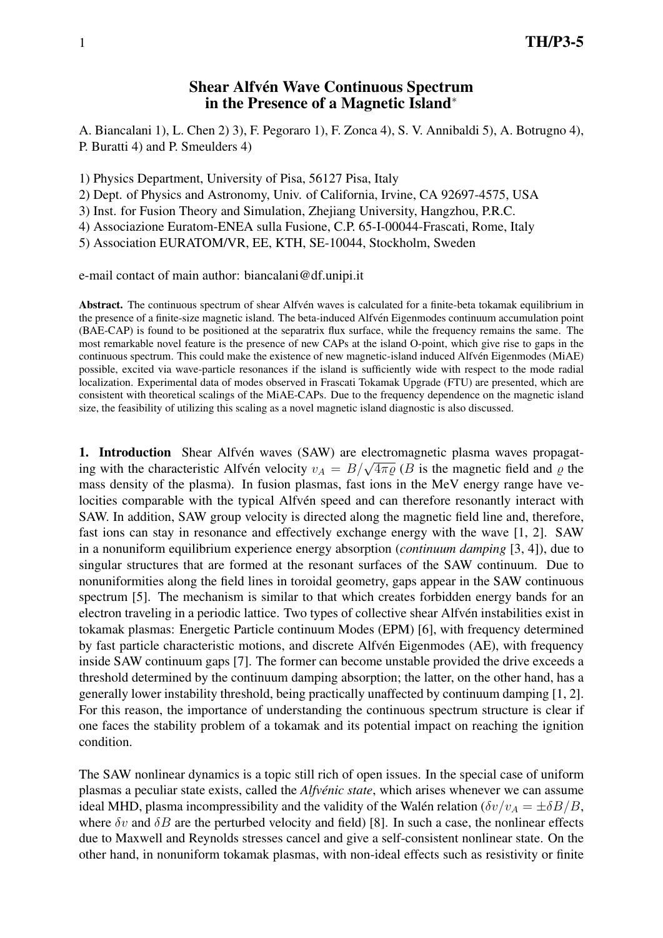# Shear Alfvén Wave Continuous Spectrum in the Presence of a Magnetic Island<sup>∗</sup>

A. Biancalani 1), L. Chen 2) 3), F. Pegoraro 1), F. Zonca 4), S. V. Annibaldi 5), A. Botrugno 4), P. Buratti 4) and P. Smeulders 4)

1) Physics Department, University of Pisa, 56127 Pisa, Italy

2) Dept. of Physics and Astronomy, Univ. of California, Irvine, CA 92697-4575, USA

3) Inst. for Fusion Theory and Simulation, Zhejiang University, Hangzhou, P.R.C.

4) Associazione Euratom-ENEA sulla Fusione, C.P. 65-I-00044-Frascati, Rome, Italy

5) Association EURATOM/VR, EE, KTH, SE-10044, Stockholm, Sweden

e-mail contact of main author: biancalani@df.unipi.it

Abstract. The continuous spectrum of shear Alfvén waves is calculated for a finite-beta tokamak equilibrium in the presence of a finite-size magnetic island. The beta-induced Alfven Eigenmodes continuum accumulation point ´ (BAE-CAP) is found to be positioned at the separatrix flux surface, while the frequency remains the same. The most remarkable novel feature is the presence of new CAPs at the island O-point, which give rise to gaps in the continuous spectrum. This could make the existence of new magnetic-island induced Alfven Eigenmodes (MiAE) ´ possible, excited via wave-particle resonances if the island is sufficiently wide with respect to the mode radial localization. Experimental data of modes observed in Frascati Tokamak Upgrade (FTU) are presented, which are consistent with theoretical scalings of the MiAE-CAPs. Due to the frequency dependence on the magnetic island size, the feasibility of utilizing this scaling as a novel magnetic island diagnostic is also discussed.

1. Introduction Shear Alfvén waves (SAW) are electromagnetic plasma waves propagat**i.** Introduction Silear Alfven waves (SAW) are electromagnetic plasma waves propagating with the characteristic Alfvén velocity  $v_A = B/\sqrt{4\pi\varrho}$  (*B* is the magnetic field and  $\varrho$  the mass density of the plasma). In fusion plasmas, fast ions in the MeV energy range have velocities comparable with the typical Alfvén speed and can therefore resonantly interact with SAW. In addition, SAW group velocity is directed along the magnetic field line and, therefore, fast ions can stay in resonance and effectively exchange energy with the wave [1, 2]. SAW in a nonuniform equilibrium experience energy absorption (*continuum damping* [3, 4]), due to singular structures that are formed at the resonant surfaces of the SAW continuum. Due to nonuniformities along the field lines in toroidal geometry, gaps appear in the SAW continuous spectrum [5]. The mechanism is similar to that which creates forbidden energy bands for an electron traveling in a periodic lattice. Two types of collective shear Alfvén instabilities exist in tokamak plasmas: Energetic Particle continuum Modes (EPM) [6], with frequency determined by fast particle characteristic motions, and discrete Alfvén Eigenmodes (AE), with frequency inside SAW continuum gaps [7]. The former can become unstable provided the drive exceeds a threshold determined by the continuum damping absorption; the latter, on the other hand, has a generally lower instability threshold, being practically unaffected by continuum damping [1, 2]. For this reason, the importance of understanding the continuous spectrum structure is clear if one faces the stability problem of a tokamak and its potential impact on reaching the ignition condition.

The SAW nonlinear dynamics is a topic still rich of open issues. In the special case of uniform plasmas a peculiar state exists, called the *Alfvénic state*, which arises whenever we can assume ideal MHD, plasma incompressibility and the validity of the Walén relation ( $\delta v/v_A = \pm \delta B/B$ , where  $\delta v$  and  $\delta B$  are the perturbed velocity and field) [8]. In such a case, the nonlinear effects due to Maxwell and Reynolds stresses cancel and give a self-consistent nonlinear state. On the other hand, in nonuniform tokamak plasmas, with non-ideal effects such as resistivity or finite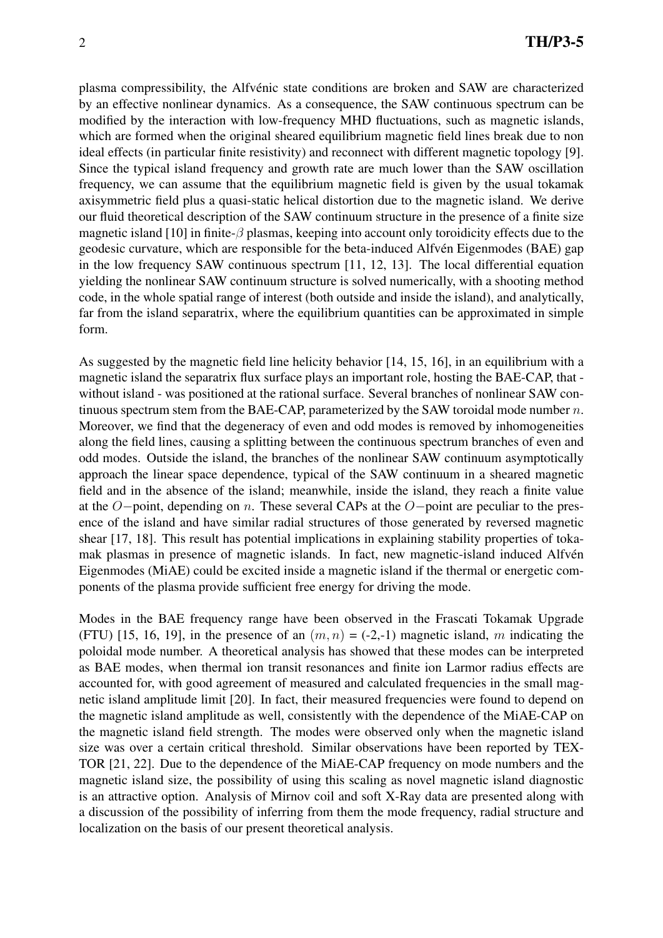plasma compressibility, the Alfvénic state conditions are broken and SAW are characterized by an effective nonlinear dynamics. As a consequence, the SAW continuous spectrum can be modified by the interaction with low-frequency MHD fluctuations, such as magnetic islands, which are formed when the original sheared equilibrium magnetic field lines break due to non ideal effects (in particular finite resistivity) and reconnect with different magnetic topology [9]. Since the typical island frequency and growth rate are much lower than the SAW oscillation frequency, we can assume that the equilibrium magnetic field is given by the usual tokamak axisymmetric field plus a quasi-static helical distortion due to the magnetic island. We derive our fluid theoretical description of the SAW continuum structure in the presence of a finite size magnetic island [10] in finite- $\beta$  plasmas, keeping into account only toroidicity effects due to the geodesic curvature, which are responsible for the beta-induced Alfvén Eigenmodes (BAE) gap in the low frequency SAW continuous spectrum [11, 12, 13]. The local differential equation yielding the nonlinear SAW continuum structure is solved numerically, with a shooting method code, in the whole spatial range of interest (both outside and inside the island), and analytically, far from the island separatrix, where the equilibrium quantities can be approximated in simple form.

As suggested by the magnetic field line helicity behavior [14, 15, 16], in an equilibrium with a magnetic island the separatrix flux surface plays an important role, hosting the BAE-CAP, that without island - was positioned at the rational surface. Several branches of nonlinear SAW continuous spectrum stem from the BAE-CAP, parameterized by the SAW toroidal mode number  $n$ . Moreover, we find that the degeneracy of even and odd modes is removed by inhomogeneities along the field lines, causing a splitting between the continuous spectrum branches of even and odd modes. Outside the island, the branches of the nonlinear SAW continuum asymptotically approach the linear space dependence, typical of the SAW continuum in a sheared magnetic field and in the absence of the island; meanwhile, inside the island, they reach a finite value at the O−point, depending on n. These several CAPs at the O−point are peculiar to the presence of the island and have similar radial structures of those generated by reversed magnetic shear [17, 18]. This result has potential implications in explaining stability properties of tokamak plasmas in presence of magnetic islands. In fact, new magnetic-island induced Alfven´ Eigenmodes (MiAE) could be excited inside a magnetic island if the thermal or energetic components of the plasma provide sufficient free energy for driving the mode.

Modes in the BAE frequency range have been observed in the Frascati Tokamak Upgrade (FTU) [15, 16, 19], in the presence of an  $(m, n) = (-2, -1)$  magnetic island, m indicating the poloidal mode number. A theoretical analysis has showed that these modes can be interpreted as BAE modes, when thermal ion transit resonances and finite ion Larmor radius effects are accounted for, with good agreement of measured and calculated frequencies in the small magnetic island amplitude limit [20]. In fact, their measured frequencies were found to depend on the magnetic island amplitude as well, consistently with the dependence of the MiAE-CAP on the magnetic island field strength. The modes were observed only when the magnetic island size was over a certain critical threshold. Similar observations have been reported by TEX-TOR [21, 22]. Due to the dependence of the MiAE-CAP frequency on mode numbers and the magnetic island size, the possibility of using this scaling as novel magnetic island diagnostic is an attractive option. Analysis of Mirnov coil and soft X-Ray data are presented along with a discussion of the possibility of inferring from them the mode frequency, radial structure and localization on the basis of our present theoretical analysis.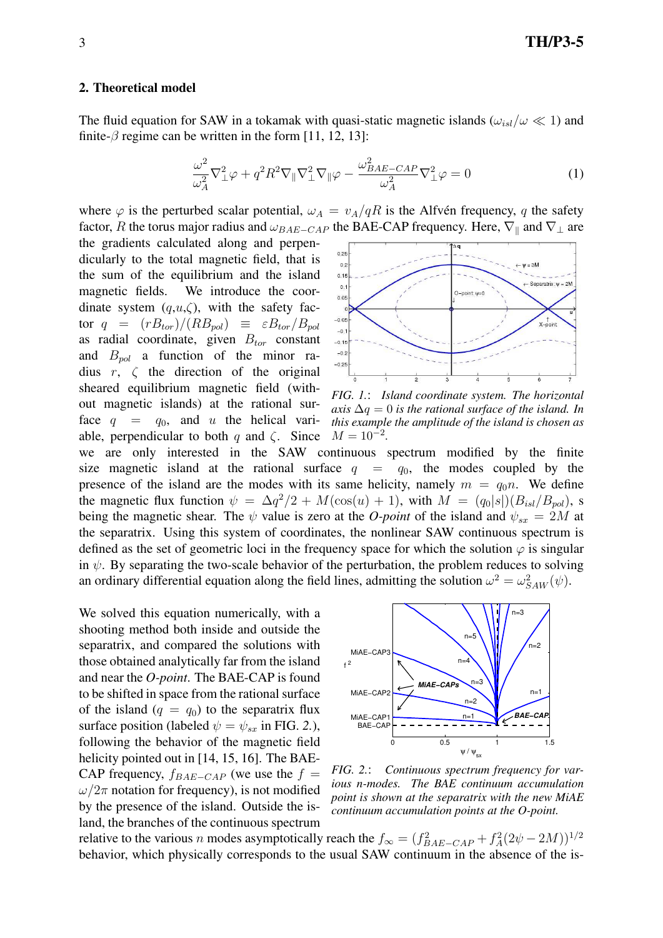#### 2. Theoretical model

The fluid equation for SAW in a tokamak with quasi-static magnetic islands ( $\omega_{isl}/\omega \ll 1$ ) and finite- $\beta$  regime can be written in the form [11, 12, 13]:

$$
\frac{\omega^2}{\omega_A^2} \nabla_\perp^2 \varphi + q^2 R^2 \nabla_\parallel \nabla_\perp^2 \nabla_\parallel \varphi - \frac{\omega_{BAE-CAP}^2}{\omega_A^2} \nabla_\perp^2 \varphi = 0 \tag{1}
$$

where  $\varphi$  is the perturbed scalar potential,  $\omega_A = v_A/qR$  is the Alfvén frequency, q the safety factor, R the torus major radius and  $\omega_{BAE-CAP}$  the BAE-CAP frequency. Here,  $\nabla_{\parallel}$  and  $\nabla_{\perp}$  are

the gradients calculated along and perpendicularly to the total magnetic field, that is the sum of the equilibrium and the island magnetic fields. We introduce the coordinate system  $(q, u, \zeta)$ , with the safety factor  $q = (rB_{tor})/(RB_{pol}) \equiv \varepsilon B_{tor}/B_{pol}$ as radial coordinate, given  $B_{tor}$  constant and  $B_{pol}$  a function of the minor radius  $r$ ,  $\zeta$  the direction of the original sheared equilibrium magnetic field (without magnetic islands) at the rational surface  $q = q_0$ , and u the helical variable, perpendicular to both q and  $\zeta$ . Since



*FIG. 1.*: *Island coordinate system. The horizontal axis* ∆q = 0 *is the rational surface of the island. In this example the amplitude of the island is chosen as*  $M = 10^{-2}$ .

we are only interested in the SAW continuous spectrum modified by the finite size magnetic island at the rational surface  $q = q_0$ , the modes coupled by the presence of the island are the modes with its same helicity, namely  $m = q_0 n$ . We define the magnetic flux function  $\psi = \Delta q^2/2 + M(\cos(u) + 1)$ , with  $M = (q_0|s|)(B_{isl}/B_{pol})$ , s being the magnetic shear. The  $\psi$  value is zero at the *O-point* of the island and  $\psi_{sx} = 2M$  at the separatrix. Using this system of coordinates, the nonlinear SAW continuous spectrum is defined as the set of geometric loci in the frequency space for which the solution  $\varphi$  is singular in  $\psi$ . By separating the two-scale behavior of the perturbation, the problem reduces to solving an ordinary differential equation along the field lines, admitting the solution  $\omega^2 = \omega_{SAW}^2(\psi)$ .

We solved this equation numerically, with a shooting method both inside and outside the separatrix, and compared the solutions with those obtained analytically far from the island and near the *O-point*. The BAE-CAP is found to be shifted in space from the rational surface of the island  $(q = q_0)$  to the separatrix flux surface position (labeled  $\psi = \psi_{sx}$  in FIG. 2.), following the behavior of the magnetic field helicity pointed out in [14, 15, 16]. The BAE-CAP frequency,  $f_{BAE-CAP}$  (we use the  $f =$  $\omega/2\pi$  notation for frequency), is not modified by the presence of the island. Outside the island, the branches of the continuous spectrum



*FIG. 2.*: *Continuous spectrum frequency for various n-modes. The BAE continuum accumulation point is shown at the separatrix with the new MiAE continuum accumulation points at the O-point.*

relative to the various *n* modes asymptotically reach the  $f_{\infty} = (f_{BAE-CAP}^2 + f_A^2(2\psi - 2M))^{1/2}$ behavior, which physically corresponds to the usual SAW continuum in the absence of the is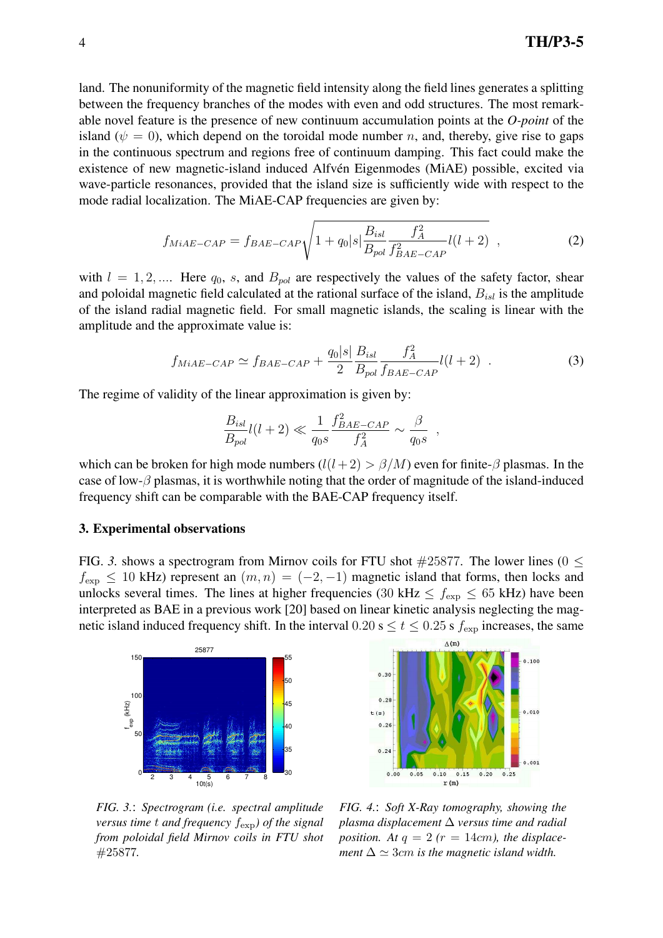land. The nonuniformity of the magnetic field intensity along the field lines generates a splitting between the frequency branches of the modes with even and odd structures. The most remarkable novel feature is the presence of new continuum accumulation points at the *O-point* of the island ( $\psi = 0$ ), which depend on the toroidal mode number *n*, and, thereby, give rise to gaps in the continuous spectrum and regions free of continuum damping. This fact could make the existence of new magnetic-island induced Alfvén Eigenmodes (MiAE) possible, excited via wave-particle resonances, provided that the island size is sufficiently wide with respect to the mode radial localization. The MiAE-CAP frequencies are given by:

$$
f_{MiAE-CAP} = f_{BAE-CAP} \sqrt{1 + q_0 |s| \frac{B_{isl}}{B_{pol}} \frac{f_A^2}{f_{BAE-CAP}^2} l(l+2)},
$$
\n(2)

with  $l = 1, 2, \dots$  Here  $q_0$ , s, and  $B_{pol}$  are respectively the values of the safety factor, shear and poloidal magnetic field calculated at the rational surface of the island,  $B_{isl}$  is the amplitude of the island radial magnetic field. For small magnetic islands, the scaling is linear with the amplitude and the approximate value is:

$$
f_{MiAE-CAP} \simeq f_{BAE-CAP} + \frac{q_0|s|}{2} \frac{B_{isl}}{B_{pol}} \frac{f_A^2}{f_{BAE-CAP}} l(l+2)
$$
 (3)

,

The regime of validity of the linear approximation is given by:

$$
\frac{B_{isl}}{B_{pol}}l(l+2) \ll \frac{1}{q_0s} \frac{f_{BAE-CAP}^2}{f_A^2} \sim \frac{\beta}{q_0s}
$$

which can be broken for high mode numbers  $(l(l+2) > \beta/M)$  even for finite- $\beta$  plasmas. In the case of low- $\beta$  plasmas, it is worthwhile noting that the order of magnitude of the island-induced frequency shift can be comparable with the BAE-CAP frequency itself.

#### 3. Experimental observations

FIG. 3. shows a spectrogram from Mirnov coils for FTU shot  $\#25877$ . The lower lines (0  $\leq$  $f_{\text{exp}} \le 10$  kHz) represent an  $(m, n) = (-2, -1)$  magnetic island that forms, then locks and unlocks several times. The lines at higher frequencies (30 kHz  $\leq f_{\rm exp} \leq 65$  kHz) have been interpreted as BAE in a previous work [20] based on linear kinetic analysis neglecting the magnetic island induced frequency shift. In the interval  $0.20 \text{ s} \le t \le 0.25 \text{ s } f_{\text{exp}}$  increases, the same





*FIG. 3.*: *Spectrogram (i.e. spectral amplitude versus time* t *and frequency* fexp*) of the signal from poloidal field Mirnov coils in FTU shot* #25877*.*

*FIG. 4.*: *Soft X-Ray tomography, showing the plasma displacement* ∆ *versus time and radial position.* At  $q = 2$  ( $r = 14cm$ ), the displace*ment*  $\Delta \simeq 3$ *cm is the magnetic island width.*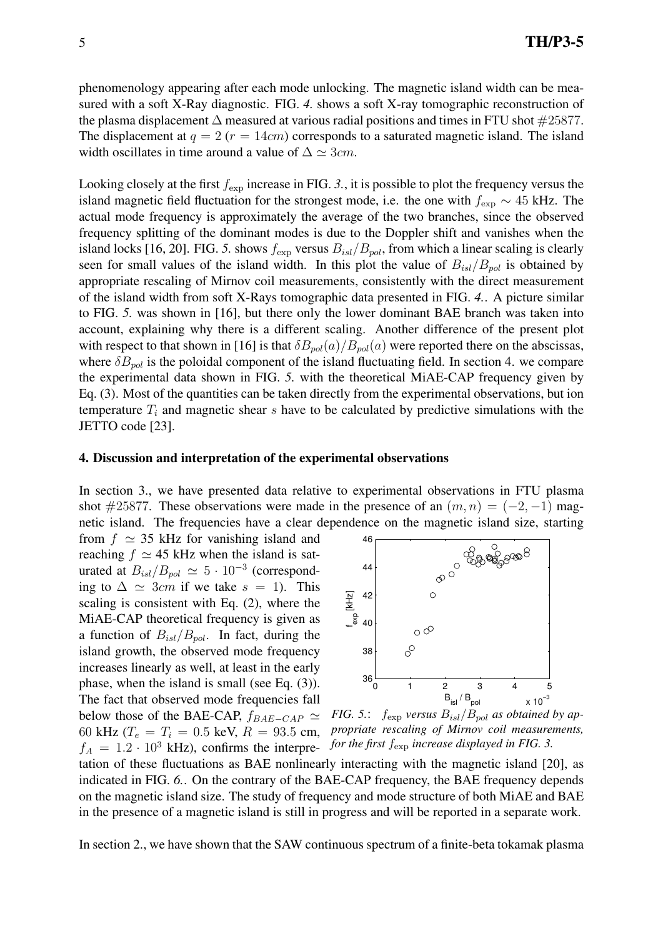phenomenology appearing after each mode unlocking. The magnetic island width can be measured with a soft X-Ray diagnostic. FIG. *4.* shows a soft X-ray tomographic reconstruction of the plasma displacement  $\Delta$  measured at various radial positions and times in FTU shot  $\#25877$ . The displacement at  $q = 2$  ( $r = 14$ cm) corresponds to a saturated magnetic island. The island width oscillates in time around a value of  $\Delta \simeq 3cm$ .

Looking closely at the first  $f_{\text{exp}}$  increase in FIG. 3., it is possible to plot the frequency versus the island magnetic field fluctuation for the strongest mode, i.e. the one with  $f_{\text{exp}} \sim 45$  kHz. The actual mode frequency is approximately the average of the two branches, since the observed frequency splitting of the dominant modes is due to the Doppler shift and vanishes when the island locks [16, 20]. FIG. 5. shows  $f_{\text{exp}}$  versus  $B_{isl}/B_{pol}$ , from which a linear scaling is clearly seen for small values of the island width. In this plot the value of  $B_{isl}/B_{pol}$  is obtained by appropriate rescaling of Mirnov coil measurements, consistently with the direct measurement of the island width from soft X-Rays tomographic data presented in FIG. *4.*. A picture similar to FIG. *5.* was shown in [16], but there only the lower dominant BAE branch was taken into account, explaining why there is a different scaling. Another difference of the present plot with respect to that shown in [16] is that  $\delta B_{pol}(a)/B_{pol}(a)$  were reported there on the abscissas, where  $\delta B_{pol}$  is the poloidal component of the island fluctuating field. In section 4. we compare the experimental data shown in FIG. *5.* with the theoretical MiAE-CAP frequency given by Eq. (3). Most of the quantities can be taken directly from the experimental observations, but ion temperature  $T_i$  and magnetic shear s have to be calculated by predictive simulations with the JETTO code [23].

### 4. Discussion and interpretation of the experimental observations

In section 3., we have presented data relative to experimental observations in FTU plasma shot #25877. These observations were made in the presence of an  $(m, n) = (-2, -1)$  magnetic island. The frequencies have a clear dependence on the magnetic island size, starting

from  $f \approx 35$  kHz for vanishing island and reaching  $f \approx 45$  kHz when the island is saturated at  $B_{isl}/B_{pol} \simeq 5 \cdot 10^{-3}$  (corresponding to  $\Delta \simeq 3cm$  if we take  $s = 1$ ). This scaling is consistent with Eq. (2), where the MiAE-CAP theoretical frequency is given as a function of  $B_{isl}/B_{pol}$ . In fact, during the island growth, the observed mode frequency increases linearly as well, at least in the early phase, when the island is small (see Eq. (3)). The fact that observed mode frequencies fall below those of the BAE-CAP,  $f_{BAE-CAP} \simeq$ 60 kHz ( $T_e = T_i = 0.5$  keV,  $R = 93.5$  cm,  $f_A = 1.2 \cdot 10^3$  kHz), confirms the interpre-



*FIG.* 5.:  $f_{\rm exp}$  *versus*  $B_{isl}/B_{pol}$  *as obtained by appropriate rescaling of Mirnov coil measurements, for the first* fexp *increase displayed in FIG. 3.*

tation of these fluctuations as BAE nonlinearly interacting with the magnetic island [20], as indicated in FIG. *6.*. On the contrary of the BAE-CAP frequency, the BAE frequency depends on the magnetic island size. The study of frequency and mode structure of both MiAE and BAE in the presence of a magnetic island is still in progress and will be reported in a separate work.

In section 2., we have shown that the SAW continuous spectrum of a finite-beta tokamak plasma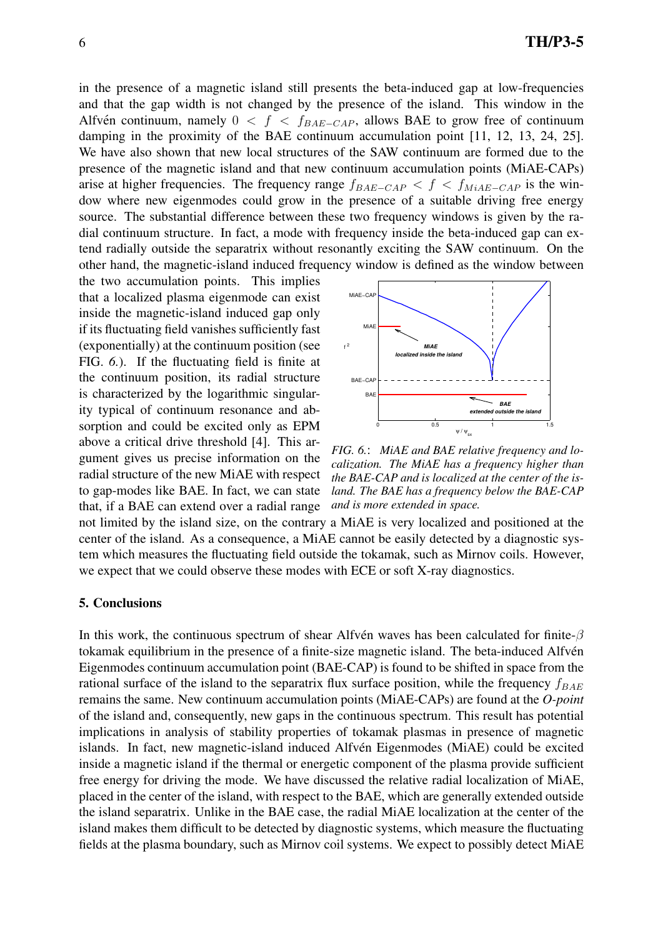in the presence of a magnetic island still presents the beta-induced gap at low-frequencies and that the gap width is not changed by the presence of the island. This window in the Alfvén continuum, namely  $0 < f < f_{BAE-CAP}$ , allows BAE to grow free of continuum damping in the proximity of the BAE continuum accumulation point [11, 12, 13, 24, 25]. We have also shown that new local structures of the SAW continuum are formed due to the presence of the magnetic island and that new continuum accumulation points (MiAE-CAPs) arise at higher frequencies. The frequency range  $f_{BAE-CAP} < f < f_{MiAE-CAP}$  is the window where new eigenmodes could grow in the presence of a suitable driving free energy source. The substantial difference between these two frequency windows is given by the radial continuum structure. In fact, a mode with frequency inside the beta-induced gap can extend radially outside the separatrix without resonantly exciting the SAW continuum. On the other hand, the magnetic-island induced frequency window is defined as the window between

the two accumulation points. This implies that a localized plasma eigenmode can exist inside the magnetic-island induced gap only if its fluctuating field vanishes sufficiently fast (exponentially) at the continuum position (see FIG. *6.*). If the fluctuating field is finite at the continuum position, its radial structure is characterized by the logarithmic singularity typical of continuum resonance and absorption and could be excited only as EPM above a critical drive threshold [4]. This argument gives us precise information on the radial structure of the new MiAE with respect to gap-modes like BAE. In fact, we can state that, if a BAE can extend over a radial range



*FIG. 6.*: *MiAE and BAE relative frequency and localization. The MiAE has a frequency higher than the BAE-CAP and is localized at the center of the island. The BAE has a frequency below the BAE-CAP and is more extended in space.*

not limited by the island size, on the contrary a MiAE is very localized and positioned at the center of the island. As a consequence, a MiAE cannot be easily detected by a diagnostic system which measures the fluctuating field outside the tokamak, such as Mirnov coils. However, we expect that we could observe these modes with ECE or soft X-ray diagnostics.

#### 5. Conclusions

In this work, the continuous spectrum of shear Alfvén waves has been calculated for finite- $\beta$ tokamak equilibrium in the presence of a finite-size magnetic island. The beta-induced Alfvén Eigenmodes continuum accumulation point (BAE-CAP) is found to be shifted in space from the rational surface of the island to the separatrix flux surface position, while the frequency  $f_{BAE}$ remains the same. New continuum accumulation points (MiAE-CAPs) are found at the *O-point* of the island and, consequently, new gaps in the continuous spectrum. This result has potential implications in analysis of stability properties of tokamak plasmas in presence of magnetic islands. In fact, new magnetic-island induced Alfvén Eigenmodes (MiAE) could be excited inside a magnetic island if the thermal or energetic component of the plasma provide sufficient free energy for driving the mode. We have discussed the relative radial localization of MiAE, placed in the center of the island, with respect to the BAE, which are generally extended outside the island separatrix. Unlike in the BAE case, the radial MiAE localization at the center of the island makes them difficult to be detected by diagnostic systems, which measure the fluctuating fields at the plasma boundary, such as Mirnov coil systems. We expect to possibly detect MiAE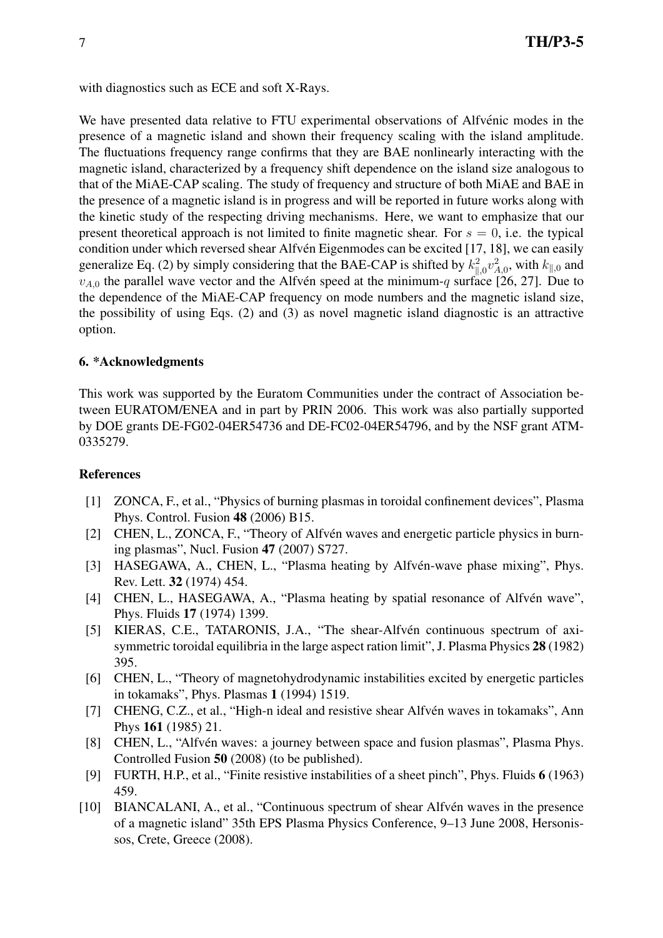with diagnostics such as ECE and soft X-Rays.

We have presented data relative to FTU experimental observations of Alfvénic modes in the presence of a magnetic island and shown their frequency scaling with the island amplitude. The fluctuations frequency range confirms that they are BAE nonlinearly interacting with the magnetic island, characterized by a frequency shift dependence on the island size analogous to that of the MiAE-CAP scaling. The study of frequency and structure of both MiAE and BAE in the presence of a magnetic island is in progress and will be reported in future works along with the kinetic study of the respecting driving mechanisms. Here, we want to emphasize that our present theoretical approach is not limited to finite magnetic shear. For  $s = 0$ , i.e. the typical condition under which reversed shear Alfvén Eigenmodes can be excited [17, 18], we can easily generalize Eq. (2) by simply considering that the BAE-CAP is shifted by  $k_{\parallel,0}^2 v_{A,0}^2$ , with  $k_{\parallel,0}$  and  $v_{A,0}$  the parallel wave vector and the Alfvén speed at the minimum-q surface [26, 27]. Due to the dependence of the MiAE-CAP frequency on mode numbers and the magnetic island size, the possibility of using Eqs. (2) and (3) as novel magnetic island diagnostic is an attractive option.

## 6. \*Acknowledgments

This work was supported by the Euratom Communities under the contract of Association between EURATOM/ENEA and in part by PRIN 2006. This work was also partially supported by DOE grants DE-FG02-04ER54736 and DE-FC02-04ER54796, and by the NSF grant ATM-0335279.

### References

- [1] ZONCA, F., et al., "Physics of burning plasmas in toroidal confinement devices", Plasma Phys. Control. Fusion 48 (2006) B15.
- [2] CHEN, L., ZONCA, F., "Theory of Alfvén waves and energetic particle physics in burning plasmas", Nucl. Fusion 47 (2007) S727.
- [3] HASEGAWA, A., CHEN, L., "Plasma heating by Alfvén-wave phase mixing", Phys. Rev. Lett. 32 (1974) 454.
- [4] CHEN, L., HASEGAWA, A., "Plasma heating by spatial resonance of Alfvén wave", Phys. Fluids 17 (1974) 1399.
- [5] KIERAS, C.E., TATARONIS, J.A., "The shear-Alfvén continuous spectrum of axisymmetric toroidal equilibria in the large aspect ration limit", J. Plasma Physics 28 (1982) 395.
- [6] CHEN, L., "Theory of magnetohydrodynamic instabilities excited by energetic particles in tokamaks", Phys. Plasmas 1 (1994) 1519.
- [7] CHENG, C.Z., et al., "High-n ideal and resistive shear Alfvén waves in tokamaks", Ann Phys 161 (1985) 21.
- [8] CHEN, L., "Alfvén waves: a journey between space and fusion plasmas", Plasma Phys. Controlled Fusion 50 (2008) (to be published).
- [9] FURTH, H.P., et al., "Finite resistive instabilities of a sheet pinch", Phys. Fluids 6 (1963) 459.
- [10] BIANCALANI, A., et al., "Continuous spectrum of shear Alfvén waves in the presence of a magnetic island" 35th EPS Plasma Physics Conference, 9–13 June 2008, Hersonissos, Crete, Greece (2008).